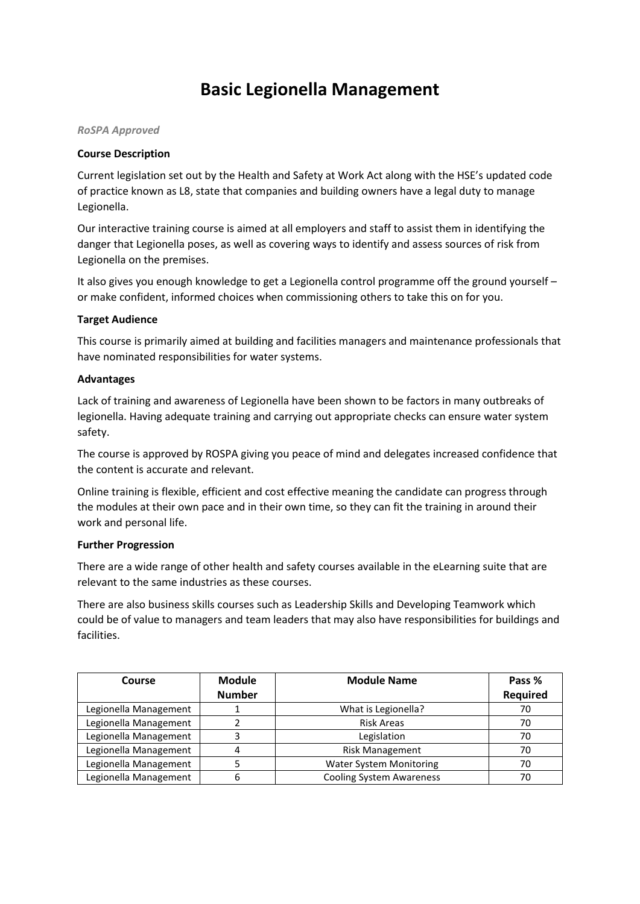# **Basic Legionella Management**

### *RoSPA Approved*

## **Course Description**

Current legislation set out by the Health and Safety at Work Act along with the HSE's updated code of practice known as L8, state that companies and building owners have a legal duty to manage Legionella.

Our interactive training course is aimed at all employers and staff to assist them in identifying the danger that Legionella poses, as well as covering ways to identify and assess sources of risk from Legionella on the premises.

It also gives you enough knowledge to get a Legionella control programme off the ground yourself – or make confident, informed choices when commissioning others to take this on for you.

### **Target Audience**

This course is primarily aimed at building and facilities managers and maintenance professionals that have nominated responsibilities for water systems.

### **Advantages**

Lack of training and awareness of Legionella have been shown to be factors in many outbreaks of legionella. Having adequate training and carrying out appropriate checks can ensure water system safety.

The course is approved by ROSPA giving you peace of mind and delegates increased confidence that the content is accurate and relevant.

Online training is flexible, efficient and cost effective meaning the candidate can progress through the modules at their own pace and in their own time, so they can fit the training in around their work and personal life.

#### **Further Progression**

There are a wide range of other health and safety courses available in the eLearning suite that are relevant to the same industries as these courses.

There are also business skills courses such as Leadership Skills and Developing Teamwork which could be of value to managers and team leaders that may also have responsibilities for buildings and facilities.

| Course                | <b>Module</b> | <b>Module Name</b>              | Pass %   |
|-----------------------|---------------|---------------------------------|----------|
|                       | <b>Number</b> |                                 | Required |
| Legionella Management |               | What is Legionella?             | 70       |
| Legionella Management |               | <b>Risk Areas</b>               | 70       |
| Legionella Management |               | Legislation                     | 70       |
| Legionella Management | 4             | <b>Risk Management</b>          | 70       |
| Legionella Management |               | <b>Water System Monitoring</b>  | 70       |
| Legionella Management | 6             | <b>Cooling System Awareness</b> |          |